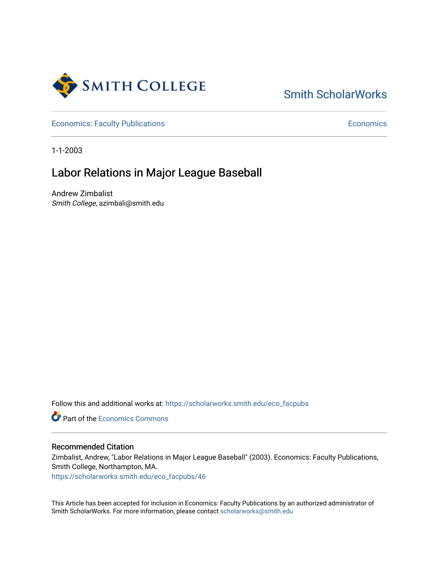

# [Smith ScholarWorks](https://scholarworks.smith.edu/)

[Economics: Faculty Publications](https://scholarworks.smith.edu/eco_facpubs) **Economics** [Economics](https://scholarworks.smith.edu/eco) **Economics** 

1-1-2003

## Labor Relations in Major League Baseball

Andrew Zimbalist Smith College, azimbali@smith.edu

Follow this and additional works at: [https://scholarworks.smith.edu/eco\\_facpubs](https://scholarworks.smith.edu/eco_facpubs?utm_source=scholarworks.smith.edu%2Feco_facpubs%2F46&utm_medium=PDF&utm_campaign=PDFCoverPages) 

**C** Part of the [Economics Commons](http://network.bepress.com/hgg/discipline/340?utm_source=scholarworks.smith.edu%2Feco_facpubs%2F46&utm_medium=PDF&utm_campaign=PDFCoverPages)

## Recommended Citation

Zimbalist, Andrew, "Labor Relations in Major League Baseball" (2003). Economics: Faculty Publications, Smith College, Northampton, MA.

[https://scholarworks.smith.edu/eco\\_facpubs/46](https://scholarworks.smith.edu/eco_facpubs/46?utm_source=scholarworks.smith.edu%2Feco_facpubs%2F46&utm_medium=PDF&utm_campaign=PDFCoverPages)

This Article has been accepted for inclusion in Economics: Faculty Publications by an authorized administrator of Smith ScholarWorks. For more information, please contact [scholarworks@smith.edu](mailto:scholarworks@smith.edu)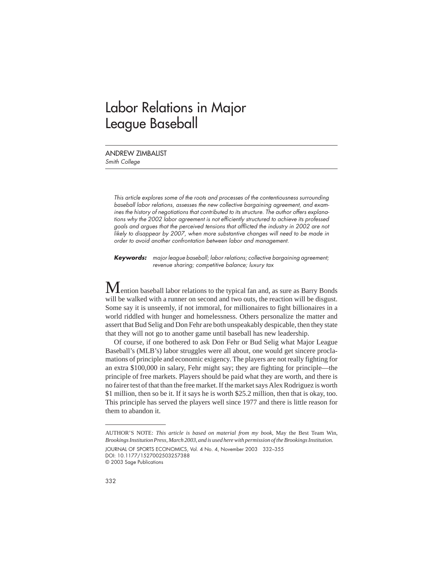# Labor Relations in Major League Baseball

ANDREW ZIMBALIST Smith College

> This article explores some of the roots and processes of the contentiousness surrounding baseball labor relations, assesses the new collective bargaining agreement, and examines the history of negotiations that contributed to its structure. The author offers explanations why the 2002 labor agreemen<sup>t</sup> is not efficiently structured to achieve its professed goals and argues that the perceived tensions that afflicted the industry in 2002 are not likely to disappear by 2007, when more substantive changes will need to be made in order to avoid another confrontation between labor and management.

> **Keywords:** major league baseball; labor relations; collective bargaining agreement; revenue sharing; competitive balance; luxury tax

Mention baseball labor relations to the typical fan and, as sure as Barry Bonds will be walked with a runner on second and two outs, the reaction will be disgust. Some say it is unseemly, if not immoral, for millionaires to fight billionaires in a world riddled with hunger and homelessness. Others personalize the matter and assert that Bud Selig and Don Fehr are both unspeakably despicable, then they state that they will not go to another game until baseball has new leadership.

Of course, if one bothered to ask Don Fehr or Bud Selig what Major League Baseball's (MLB's) labor struggles were all about, one would get sincere proclamations of principle and economic exigency. The players are not really fighting for an extra \$100,000 in salary, Fehr might say; they are fighting for principle—the principle of free markets. Players should be paid what they are worth, and there is no fairer test of that than the free market. If the market says Alex Rodriguez is worth \$1 million, then so be it. If it says he is worth \$25.2 million, then that is okay, too. This principle has served the players well since 1977 and there is little reason for them to abandon it.

AUTHOR'S NOTE: *This article is based on material from my book,* May the Best Team Win*, Brookings Institution Press, March 2003, and is used here with permission of the Brookings Institution.*

JOURNAL OF SPORTS ECONOMICS, Vol. 4 No. 4, November 2003 332–355 DOI: 10.1177/1527002503257388

<sup>© 2003</sup> Sage Publications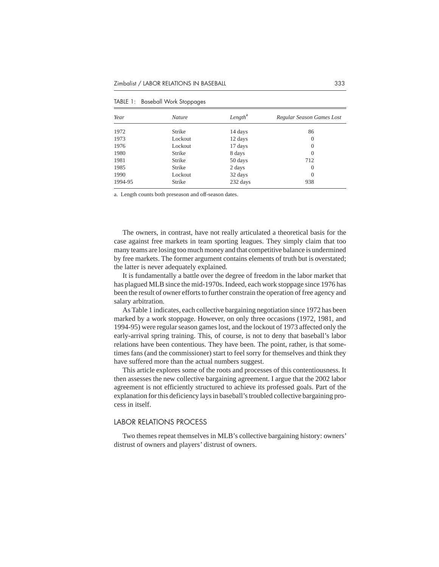| Year    | <b>Nature</b> | Length <sup>a</sup> | Regular Season Games Lost |  |  |
|---------|---------------|---------------------|---------------------------|--|--|
| 1972    | Strike        | 14 days             | 86                        |  |  |
| 1973    | Lockout       | 12 days             | $\overline{0}$            |  |  |
| 1976    | Lockout       | 17 days             | $\overline{0}$            |  |  |
| 1980    | Strike        | 8 days              | $\overline{0}$            |  |  |
| 1981    | Strike        | 50 days             | 712                       |  |  |
| 1985    | Strike        | 2 days              | $\overline{0}$            |  |  |
| 1990    | Lockout       | 32 days             | $\overline{0}$            |  |  |
| 1994-95 | Strike        | 232 days            | 938                       |  |  |

TABLE 1: Baseball Work Stoppages

a. Length counts both preseason and off-season dates.

The owners, in contrast, have not really articulated a theoretical basis for the case against free markets in team sporting leagues. They simply claim that too many teams are losing too much money and that competitive balance is undermined by free markets. The former argument contains elements of truth but is overstated; the latter is never adequately explained.

It is fundamentally a battle over the degree of freedom in the labor market that has plagued MLB since the mid-1970s. Indeed, each work stoppage since 1976 has been the result of owner efforts to further constrain the operation of free agency and salary arbitration.

As Table 1 indicates, each collective bargaining negotiation since 1972 has been marked by a work stoppage. However, on only three occasions (1972, 1981, and 1994-95) were regular season games lost, and the lockout of 1973 affected only the early-arrival spring training. This, of course, is not to deny that baseball's labor relations have been contentious. They have been. The point, rather, is that sometimes fans (and the commissioner) start to feel sorry for themselves and think they have suffered more than the actual numbers suggest.

This article explores some of the roots and processes of this contentiousness. It then assesses the new collective bargaining agreement. I argue that the 2002 labor agreement is not efficiently structured to achieve its professed goals. Part of the explanation for this deficiency lays in baseball's troubled collective bargaining process in itself.

#### LABOR RELATIONS PROCESS

Two themes repeat themselves in MLB's collective bargaining history: owners' distrust of owners and players' distrust of owners.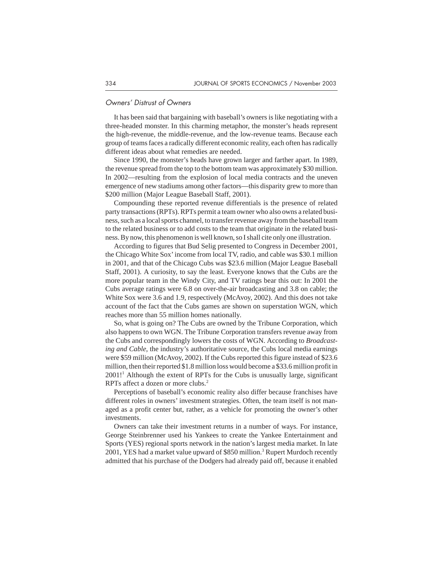#### Owners' Distrust of Owners

It has been said that bargaining with baseball's owners is like negotiating with a three-headed monster. In this charming metaphor, the monster's heads represent the high-revenue, the middle-revenue, and the low-revenue teams. Because each group of teams faces a radically different economic reality, each often has radically different ideas about what remedies are needed.

Since 1990, the monster's heads have grown larger and farther apart. In 1989, the revenue spread from the top to the bottom team was approximately \$30 million. In 2002—resulting from the explosion of local media contracts and the uneven emergence of new stadiums among other factors—this disparity grew to more than \$200 million (Major League Baseball Staff, 2001).

Compounding these reported revenue differentials is the presence of related party transactions (RPTs). RPTs permit a team owner who also owns a related business, such as a local sports channel, to transfer revenue away from the baseball team to the related business or to add costs to the team that originate in the related business. By now, this phenomenon is well known, so I shall cite only one illustration.

According to figures that Bud Selig presented to Congress in December 2001, the Chicago White Sox' income from local TV, radio, and cable was \$30.1 million in 2001, and that of the Chicago Cubs was \$23.6 million (Major League Baseball Staff, 2001). A curiosity, to say the least. Everyone knows that the Cubs are the more popular team in the Windy City, and TV ratings bear this out: In 2001 the Cubs average ratings were 6.8 on over-the-air broadcasting and 3.8 on cable; the White Sox were 3.6 and 1.9, respectively (McAvoy, 2002). And this does not take account of the fact that the Cubs games are shown on superstation WGN, which reaches more than 55 million homes nationally.

So, what is going on? The Cubs are owned by the Tribune Corporation, which also happens to own WGN. The Tribune Corporation transfers revenue away from the Cubs and correspondingly lowers the costs of WGN. According to *Broadcasting and Cable*, the industry's authoritative source, the Cubs local media earnings were \$59 million (McAvoy, 2002). If the Cubs reported this figure instead of \$23.6 million, then their reported \$1.8 million loss would become a \$33.6 million profit in 2001!1 Although the extent of RPTs for the Cubs is unusually large, significant RPTs affect a dozen or more clubs.<sup>2</sup>

Perceptions of baseball's economic reality also differ because franchises have different roles in owners' investment strategies. Often, the team itself is not managed as a profit center but, rather, as a vehicle for promoting the owner's other investments.

Owners can take their investment returns in a number of ways. For instance, George Steinbrenner used his Yankees to create the Yankee Entertainment and Sports (YES) regional sports network in the nation's largest media market. In late 2001, YES had a market value upward of \$850 million.<sup>3</sup> Rupert Murdoch recently admitted that his purchase of the Dodgers had already paid off, because it enabled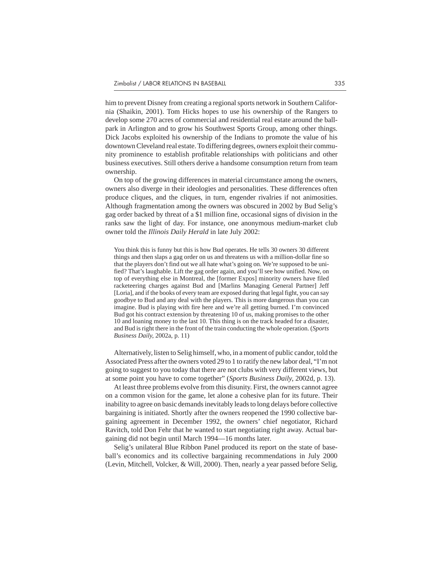him to prevent Disney from creating a regional sports network in Southern California (Shaikin, 2001). Tom Hicks hopes to use his ownership of the Rangers to develop some 270 acres of commercial and residential real estate around the ballpark in Arlington and to grow his Southwest Sports Group, among other things. Dick Jacobs exploited his ownership of the Indians to promote the value of his downtown Cleveland real estate. To differing degrees, owners exploit their community prominence to establish profitable relationships with politicians and other business executives. Still others derive a handsome consumption return from team ownership.

On top of the growing differences in material circumstance among the owners, owners also diverge in their ideologies and personalities. These differences often produce cliques, and the cliques, in turn, engender rivalries if not animosities. Although fragmentation among the owners was obscured in 2002 by Bud Selig's gag order backed by threat of a \$1 million fine, occasional signs of division in the ranks saw the light of day. For instance, one anonymous medium-market club owner told the *Illinois Daily Herald* in late July 2002:

You think this is funny but this is how Bud operates. He tells 30 owners 30 different things and then slaps a gag order on us and threatens us with a million-dollar fine so that the players don't find out we all hate what's going on. We're supposed to be unified? That's laughable. Lift the gag order again, and you'll see how unified. Now, on top of everything else in Montreal, the [former Expos] minority owners have filed racketeering charges against Bud and [Marlins Managing General Partner] Jeff [Loria], and if the books of every team are exposed during that legal fight, you can say goodbye to Bud and any deal with the players. This is more dangerous than you can imagine. Bud is playing with fire here and we're all getting burned. I'm convinced Bud got his contract extension by threatening 10 of us, making promises to the other 10 and loaning money to the last 10. This thing is on the track headed for a disaster, and Bud is right there in the front of the train conducting the whole operation. (*Sports Business Daily*, 2002a, p. 11)

Alternatively, listen to Selig himself, who, in a moment of public candor, told the Associated Press after the owners voted 29 to 1 to ratify the new labor deal, "I'm not going to suggest to you today that there are not clubs with very different views, but at some point you have to come together" (*Sports Business Daily*, 2002d, p. 13).

At least three problems evolve from this disunity. First, the owners cannot agree on a common vision for the game, let alone a cohesive plan for its future. Their inability to agree on basic demands inevitably leads to long delays before collective bargaining is initiated. Shortly after the owners reopened the 1990 collective bargaining agreement in December 1992, the owners' chief negotiator, Richard Ravitch, told Don Fehr that he wanted to start negotiating right away. Actual bargaining did not begin until March 1994—16 months later.

Selig's unilateral Blue Ribbon Panel produced its report on the state of baseball's economics and its collective bargaining recommendations in July 2000 (Levin, Mitchell, Volcker, & Will, 2000). Then, nearly a year passed before Selig,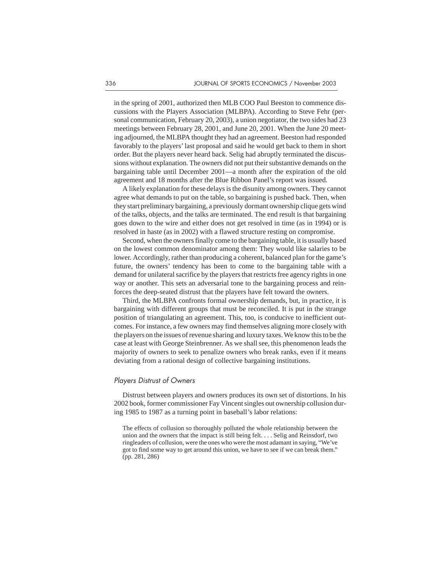in the spring of 2001, authorized then MLB COO Paul Beeston to commence discussions with the Players Association (MLBPA). According to Steve Fehr (personal communication, February 20, 2003), a union negotiator, the two sides had 23 meetings between February 28, 2001, and June 20, 2001. When the June 20 meeting adjourned, the MLBPA thought they had an agreement. Beeston had responded favorably to the players' last proposal and said he would get back to them in short order. But the players never heard back. Selig had abruptly terminated the discussions without explanation. The owners did not put their substantive demands on the bargaining table until December 2001—a month after the expiration of the old agreement and 18 months after the Blue Ribbon Panel's report was issued.

A likely explanation for these delays is the disunity among owners. They cannot agree what demands to put on the table, so bargaining is pushed back. Then, when they start preliminary bargaining, a previously dormant ownership clique gets wind of the talks, objects, and the talks are terminated. The end result is that bargaining goes down to the wire and either does not get resolved in time (as in 1994) or is resolved in haste (as in 2002) with a flawed structure resting on compromise.

Second, when the owners finally come to the bargaining table, it is usually based on the lowest common denominator among them: They would like salaries to be lower. Accordingly, rather than producing a coherent, balanced plan for the game's future, the owners' tendency has been to come to the bargaining table with a demand for unilateral sacrifice by the players that restricts free agency rights in one way or another. This sets an adversarial tone to the bargaining process and reinforces the deep-seated distrust that the players have felt toward the owners.

Third, the MLBPA confronts formal ownership demands, but, in practice, it is bargaining with different groups that must be reconciled. It is put in the strange position of triangulating an agreement. This, too, is conducive to inefficient outcomes. For instance, a few owners may find themselves aligning more closely with the players on the issues of revenue sharing and luxury taxes. We know this to be the case at least with George Steinbrenner. As we shall see, this phenomenon leads the majority of owners to seek to penalize owners who break ranks, even if it means deviating from a rational design of collective bargaining institutions.

#### Players Distrust of Owners

Distrust between players and owners produces its own set of distortions. In his 2002 book, former commissioner Fay Vincent singles out ownership collusion during 1985 to 1987 as a turning point in baseball's labor relations:

The effects of collusion so thoroughly polluted the whole relationship between the union and the owners that the impact is still being felt. . . . Selig and Reinsdorf, two ringleaders of collusion, were the ones who were the most adamant in saying, "We've got to find some way to get around this union, we have to see if we can break them." (pp. 281, 286)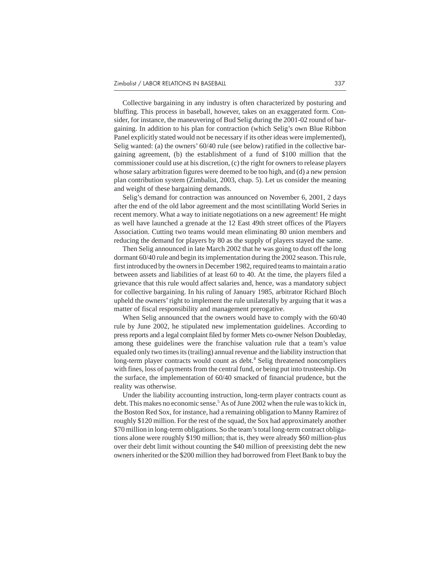Collective bargaining in any industry is often characterized by posturing and bluffing. This process in baseball, however, takes on an exaggerated form. Consider, for instance, the maneuvering of Bud Selig during the 2001-02 round of bargaining. In addition to his plan for contraction (which Selig's own Blue Ribbon Panel explicitly stated would not be necessary if its other ideas were implemented), Selig wanted: (a) the owners' 60/40 rule (see below) ratified in the collective bargaining agreement, (b) the establishment of a fund of \$100 million that the commissioner could use at his discretion, (c) the right for owners to release players whose salary arbitration figures were deemed to be too high, and (d) a new pension plan contribution system (Zimbalist, 2003, chap. 5). Let us consider the meaning and weight of these bargaining demands.

Selig's demand for contraction was announced on November 6, 2001, 2 days after the end of the old labor agreement and the most scintillating World Series in recent memory. What a way to initiate negotiations on a new agreement! He might as well have launched a grenade at the 12 East 49th street offices of the Players Association. Cutting two teams would mean eliminating 80 union members and reducing the demand for players by 80 as the supply of players stayed the same.

Then Selig announced in late March 2002 that he was going to dust off the long dormant 60/40 rule and begin its implementation during the 2002 season. This rule, first introduced by the owners in December 1982, required teams to maintain a ratio between assets and liabilities of at least 60 to 40. At the time, the players filed a grievance that this rule would affect salaries and, hence, was a mandatory subject for collective bargaining. In his ruling of January 1985, arbitrator Richard Bloch upheld the owners' right to implement the rule unilaterally by arguing that it was a matter of fiscal responsibility and management prerogative.

When Selig announced that the owners would have to comply with the 60/40 rule by June 2002, he stipulated new implementation guidelines. According to press reports and a legal complaint filed by former Mets co-owner Nelson Doubleday, among these guidelines were the franchise valuation rule that a team's value equaled only two times its (trailing) annual revenue and the liability instruction that long-term player contracts would count as debt.<sup>4</sup> Selig threatened noncompliers with fines, loss of payments from the central fund, or being put into trusteeship. On the surface, the implementation of 60/40 smacked of financial prudence, but the reality was otherwise.

Under the liability accounting instruction, long-term player contracts count as debt. This makes no economic sense.<sup>5</sup> As of June 2002 when the rule was to kick in, the Boston Red Sox, for instance, had a remaining obligation to Manny Ramirez of roughly \$120 million. For the rest of the squad, the Sox had approximately another \$70 million in long-term obligations. So the team's total long-term contract obligations alone were roughly \$190 million; that is, they were already \$60 million-plus over their debt limit without counting the \$40 million of preexisting debt the new owners inherited or the \$200 million they had borrowed from Fleet Bank to buy the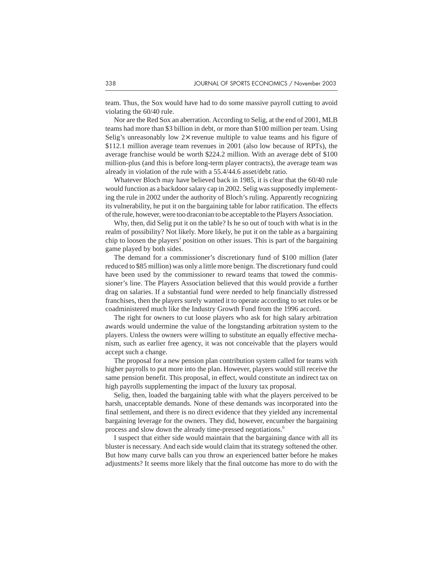team. Thus, the Sox would have had to do some massive payroll cutting to avoid violating the 60/40 rule.

Nor are the Red Sox an aberration. According to Selig, at the end of 2001, MLB teams had more than \$3 billion in debt, or more than \$100 million per team. Using Selig's unreasonably low  $2\times$  revenue multiple to value teams and his figure of \$112.1 million average team revenues in 2001 (also low because of RPTs), the average franchise would be worth \$224.2 million. With an average debt of \$100 million-plus (and this is before long-term player contracts), the average team was already in violation of the rule with a 55.4/44.6 asset/debt ratio.

Whatever Bloch may have believed back in 1985, it is clear that the 60/40 rule would function as a backdoor salary cap in 2002. Selig was supposedly implementing the rule in 2002 under the authority of Bloch's ruling. Apparently recognizing its vulnerability, he put it on the bargaining table for labor ratification. The effects of the rule, however, were too draconian to be acceptable to the Players Association.

Why, then, did Selig put it on the table? Is he so out of touch with what is in the realm of possibility? Not likely. More likely, he put it on the table as a bargaining chip to loosen the players' position on other issues. This is part of the bargaining game played by both sides.

The demand for a commissioner's discretionary fund of \$100 million (later reduced to \$85 million) was only a little more benign. The discretionary fund could have been used by the commissioner to reward teams that towed the commissioner's line. The Players Association believed that this would provide a further drag on salaries. If a substantial fund were needed to help financially distressed franchises, then the players surely wanted it to operate according to set rules or be coadministered much like the Industry Growth Fund from the 1996 accord.

The right for owners to cut loose players who ask for high salary arbitration awards would undermine the value of the longstanding arbitration system to the players. Unless the owners were willing to substitute an equally effective mechanism, such as earlier free agency, it was not conceivable that the players would accept such a change.

The proposal for a new pension plan contribution system called for teams with higher payrolls to put more into the plan. However, players would still receive the same pension benefit. This proposal, in effect, would constitute an indirect tax on high payrolls supplementing the impact of the luxury tax proposal.

Selig, then, loaded the bargaining table with what the players perceived to be harsh, unacceptable demands. None of these demands was incorporated into the final settlement, and there is no direct evidence that they yielded any incremental bargaining leverage for the owners. They did, however, encumber the bargaining process and slow down the already time-pressed negotiations.<sup>6</sup>

I suspect that either side would maintain that the bargaining dance with all its bluster is necessary. And each side would claim that its strategy softened the other. But how many curve balls can you throw an experienced batter before he makes adjustments? It seems more likely that the final outcome has more to do with the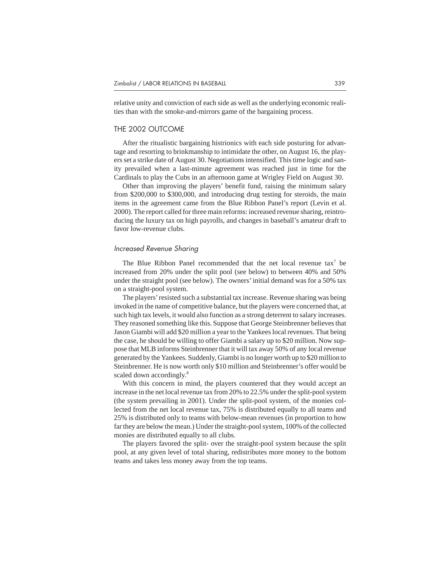relative unity and conviction of each side as well as the underlying economic realities than with the smoke-and-mirrors game of the bargaining process.

#### THE 2002 OUTCOME

After the ritualistic bargaining histrionics with each side posturing for advantage and resorting to brinkmanship to intimidate the other, on August 16, the players set a strike date of August 30. Negotiations intensified. This time logic and sanity prevailed when a last-minute agreement was reached just in time for the Cardinals to play the Cubs in an afternoon game at Wrigley Field on August 30.

Other than improving the players' benefit fund, raising the minimum salary from \$200,000 to \$300,000, and introducing drug testing for steroids, the main items in the agreement came from the Blue Ribbon Panel's report (Levin et al. 2000). The report called for three main reforms: increased revenue sharing, reintroducing the luxury tax on high payrolls, and changes in baseball's amateur draft to favor low-revenue clubs.

#### Increased Revenue Sharing

The Blue Ribbon Panel recommended that the net local revenue  $\text{tax}^7$  be increased from 20% under the split pool (see below) to between 40% and 50% under the straight pool (see below). The owners' initial demand was for a 50% tax on a straight-pool system.

The players'resisted such a substantial tax increase. Revenue sharing was being invoked in the name of competitive balance, but the players were concerned that, at such high tax levels, it would also function as a strong deterrent to salary increases. They reasoned something like this. Suppose that George Steinbrenner believes that Jason Giambi will add \$20 million a year to the Yankees local revenues. That being the case, he should be willing to offer Giambi a salary up to \$20 million. Now suppose that MLB informs Steinbrenner that it will tax away 50% of any local revenue generated by the Yankees. Suddenly, Giambi is no longer worth up to \$20 million to Steinbrenner. He is now worth only \$10 million and Steinbrenner's offer would be scaled down accordingly.<sup>8</sup>

With this concern in mind, the players countered that they would accept an increase in the net local revenue tax from 20% to 22.5% under the split-pool system (the system prevailing in 2001). Under the split-pool system, of the monies collected from the net local revenue tax, 75% is distributed equally to all teams and 25% is distributed only to teams with below-mean revenues (in proportion to how far they are below the mean.) Under the straight-pool system, 100% of the collected monies are distributed equally to all clubs.

The players favored the split- over the straight-pool system because the split pool, at any given level of total sharing, redistributes more money to the bottom teams and takes less money away from the top teams.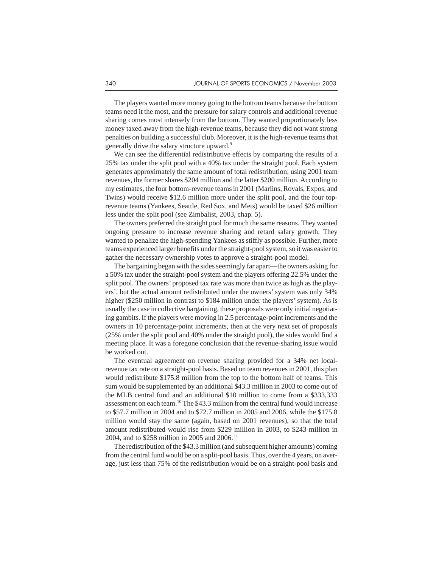The players wanted more money going to the bottom teams because the bottom teams need it the most, and the pressure for salary controls and additional revenue sharing comes most intensely from the bottom. They wanted proportionately less money taxed away from the high-revenue teams, because they did not want strong penalties on building a successful club. Moreover, it is the high-revenue teams that generally drive the salary structure upward.<sup>9</sup>

We can see the differential redistributive effects by comparing the results of a 25% tax under the split pool with a 40% tax under the straight pool. Each system generates approximately the same amount of total redistribution; using 2001 team revenues, the former shares \$204 million and the latter \$200 million. According to my estimates, the four bottom-revenue teams in 2001 (Marlins, Royals, Expos, and Twins) would receive \$12.6 million more under the split pool, and the four toprevenue teams (Yankees, Seattle, Red Sox, and Mets) would be taxed \$26 million less under the split pool (see Zimbalist, 2003, chap. 5).

The owners preferred the straight pool for much the same reasons. They wanted ongoing pressure to increase revenue sharing and retard salary growth. They wanted to penalize the high-spending Yankees as stiffly as possible. Further, more teams experienced larger benefits under the straight-pool system, so it was easier to gather the necessary ownership votes to approve a straight-pool model.

The bargaining began with the sides seemingly far apart—the owners asking for a 50% tax under the straight-pool system and the players offering 22.5% under the split pool. The owners' proposed tax rate was more than twice as high as the players', but the actual amount redistributed under the owners' system was only 34% higher (\$250 million in contrast to \$184 million under the players' system). As is usually the case in collective bargaining, these proposals were only initial negotiating gambits. If the players were moving in 2.5 percentage-point increments and the owners in 10 percentage-point increments, then at the very next set of proposals (25% under the split pool and 40% under the straight pool), the sides would find a meeting place. It was a foregone conclusion that the revenue-sharing issue would be worked out.

The eventual agreement on revenue sharing provided for a 34% net localrevenue tax rate on a straight-pool basis. Based on team revenues in 2001, this plan would redistribute \$175.8 million from the top to the bottom half of teams. This sum would be supplemented by an additional \$43.3 million in 2003 to come out of the MLB central fund and an additional \$10 million to come from a \$333,333 assessment on each team.<sup>10</sup> The \$43.3 million from the central fund would increase to \$57.7 million in 2004 and to \$72.7 million in 2005 and 2006, while the \$175.8 million would stay the same (again, based on 2001 revenues), so that the total amount redistributed would rise from \$229 million in 2003, to \$243 million in 2004, and to \$258 million in 2005 and 2006.<sup>11</sup>

The redistribution of the \$43.3 million (and subsequent higher amounts) coming from the central fund would be on a split-pool basis. Thus, over the 4 years, on average, just less than 75% of the redistribution would be on a straight-pool basis and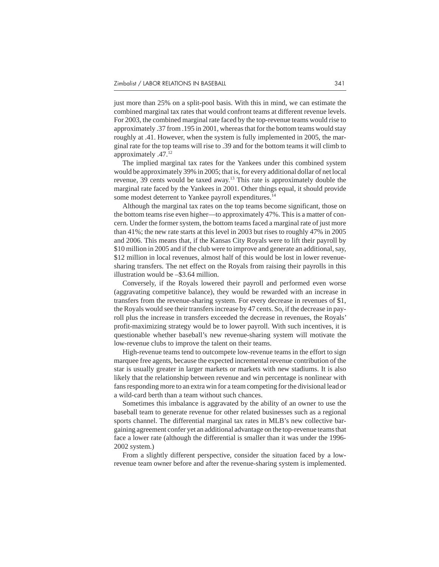just more than 25% on a split-pool basis. With this in mind, we can estimate the combined marginal tax rates that would confront teams at different revenue levels. For 2003, the combined marginal rate faced by the top-revenue teams would rise to approximately .37 from .195 in 2001, whereas that for the bottom teams would stay roughly at .41. However, when the system is fully implemented in 2005, the marginal rate for the top teams will rise to .39 and for the bottom teams it will climb to approximately .47.<sup>12</sup>

The implied marginal tax rates for the Yankees under this combined system would be approximately 39% in 2005; that is, for every additional dollar of net local revenue, 39 cents would be taxed away.<sup>13</sup> This rate is approximately double the marginal rate faced by the Yankees in 2001. Other things equal, it should provide some modest deterrent to Yankee payroll expenditures.<sup>14</sup>

Although the marginal tax rates on the top teams become significant, those on the bottom teams rise even higher—to approximately 47%. This is a matter of concern. Under the former system, the bottom teams faced a marginal rate of just more than 41%; the new rate starts at this level in 2003 but rises to roughly 47% in 2005 and 2006. This means that, if the Kansas City Royals were to lift their payroll by \$10 million in 2005 and if the club were to improve and generate an additional, say, \$12 million in local revenues, almost half of this would be lost in lower revenuesharing transfers. The net effect on the Royals from raising their payrolls in this illustration would be –\$3.64 million.

Conversely, if the Royals lowered their payroll and performed even worse (aggravating competitive balance), they would be rewarded with an increase in transfers from the revenue-sharing system. For every decrease in revenues of \$1, the Royals would see their transfers increase by 47 cents. So, if the decrease in payroll plus the increase in transfers exceeded the decrease in revenues, the Royals' profit-maximizing strategy would be to lower payroll. With such incentives, it is questionable whether baseball's new revenue-sharing system will motivate the low-revenue clubs to improve the talent on their teams.

High-revenue teams tend to outcompete low-revenue teams in the effort to sign marquee free agents, because the expected incremental revenue contribution of the star is usually greater in larger markets or markets with new stadiums. It is also likely that the relationship between revenue and win percentage is nonlinear with fans responding more to an extra win for a team competing for the divisional lead or a wild-card berth than a team without such chances.

Sometimes this imbalance is aggravated by the ability of an owner to use the baseball team to generate revenue for other related businesses such as a regional sports channel. The differential marginal tax rates in MLB's new collective bargaining agreement confer yet an additional advantage on the top-revenue teams that face a lower rate (although the differential is smaller than it was under the 1996- 2002 system.)

From a slightly different perspective, consider the situation faced by a lowrevenue team owner before and after the revenue-sharing system is implemented.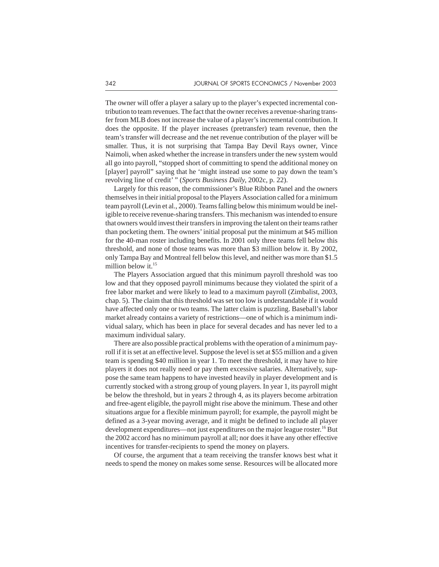The owner will offer a player a salary up to the player's expected incremental contribution to team revenues. The fact that the owner receives a revenue-sharing transfer from MLB does not increase the value of a player's incremental contribution. It does the opposite. If the player increases (pretransfer) team revenue, then the team's transfer will decrease and the net revenue contribution of the player will be smaller. Thus, it is not surprising that Tampa Bay Devil Rays owner, Vince Naimoli, when asked whether the increase in transfers under the new system would all go into payroll, "stopped short of committing to spend the additional money on [player] payroll" saying that he 'might instead use some to pay down the team's revolving line of credit' " (*Sports Business Daily*, 2002c, p. 22).

Largely for this reason, the commissioner's Blue Ribbon Panel and the owners themselves in their initial proposal to the Players Association called for a minimum team payroll (Levin et al., 2000). Teams falling below this minimum would be ineligible to receive revenue-sharing transfers. This mechanism was intended to ensure that owners would invest their transfers in improving the talent on their teams rather than pocketing them. The owners' initial proposal put the minimum at \$45 million for the 40-man roster including benefits. In 2001 only three teams fell below this threshold, and none of those teams was more than \$3 million below it. By 2002, only Tampa Bay and Montreal fell below this level, and neither was more than \$1.5 million below it.<sup>15</sup>

The Players Association argued that this minimum payroll threshold was too low and that they opposed payroll minimums because they violated the spirit of a free labor market and were likely to lead to a maximum payroll (Zimbalist, 2003, chap. 5). The claim that this threshold was set too low is understandable if it would have affected only one or two teams. The latter claim is puzzling. Baseball's labor market already contains a variety of restrictions—one of which is a minimum individual salary, which has been in place for several decades and has never led to a maximum individual salary.

There are also possible practical problems with the operation of a minimum payroll if it is set at an effective level. Suppose the level is set at \$55 million and a given team is spending \$40 million in year 1. To meet the threshold, it may have to hire players it does not really need or pay them excessive salaries. Alternatively, suppose the same team happens to have invested heavily in player development and is currently stocked with a strong group of young players. In year 1, its payroll might be below the threshold, but in years 2 through 4, as its players become arbitration and free-agent eligible, the payroll might rise above the minimum. These and other situations argue for a flexible minimum payroll; for example, the payroll might be defined as a 3-year moving average, and it might be defined to include all player development expenditures—not just expenditures on the major league roster.<sup>16</sup> But the 2002 accord has no minimum payroll at all; nor does it have any other effective incentives for transfer-recipients to spend the money on players.

Of course, the argument that a team receiving the transfer knows best what it needs to spend the money on makes some sense. Resources will be allocated more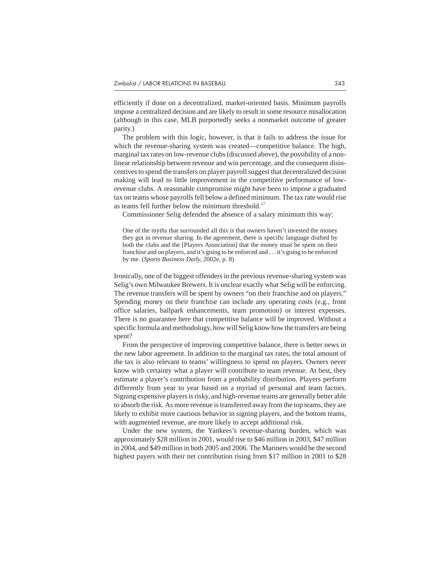efficiently if done on a decentralized, market-oriented basis. Minimum payrolls impose a centralized decision and are likely to result in some resource misallocation (although in this case, MLB purportedly seeks a nonmarket outcome of greater parity.)

The problem with this logic, however, is that it fails to address the issue for which the revenue-sharing system was created—competitive balance. The high, marginal tax rates on low-revenue clubs (discussed above), the possibility of a nonlinear relationship between revenue and win percentage, and the consequent disincentives to spend the transfers on player payroll suggest that decentralized decision making will lead to little improvement in the competitive performance of lowrevenue clubs. A reasonable compromise might have been to impose a graduated tax on teams whose payrolls fell below a defined minimum. The tax rate would rise as teams fell further below the minimum threshold.<sup>17</sup>

Commissioner Selig defended the absence of a salary minimum this way:

One of the myths that surrounded all this is that owners haven't invested the money they got in revenue sharing. In the agreement, there is specific language drafted by both the clubs and the [Players Association] that the money must be spent on their franchise and on players, and it's going to be enforced and . . . it's going to be enforced by me. (*Sports Business Daily*, 2002e, p. 8)

Ironically, one of the biggest offenders in the previous revenue-sharing system was Selig's own Milwaukee Brewers. It is unclear exactly what Selig will be enforcing. The revenue transfers will be spent by owners "on their franchise and on players." Spending money on their franchise can include any operating costs (e.g., front office salaries, ballpark enhancements, team promotion) or interest expenses. There is no guarantee here that competitive balance will be improved. Without a specific formula and methodology, how will Selig know how the transfers are being spent?

From the perspective of improving competitive balance, there is better news in the new labor agreement. In addition to the marginal tax rates, the total amount of the tax is also relevant to teams' willingness to spend on players. Owners never know with certainty what a player will contribute to team revenue. At best, they estimate a player's contribution from a probability distribution. Players perform differently from year to year based on a myriad of personal and team factors. Signing expensive players is risky, and high-revenue teams are generally better able to absorb the risk. As more revenue is transferred away from the top teams, they are likely to exhibit more cautious behavior in signing players, and the bottom teams, with augmented revenue, are more likely to accept additional risk.

Under the new system, the Yankees's revenue-sharing burden, which was approximately \$28 million in 2001, would rise to \$46 million in 2003, \$47 million in 2004, and \$49 million in both 2005 and 2006. The Mariners would be the second highest payers with their net contribution rising from \$17 million in 2001 to \$28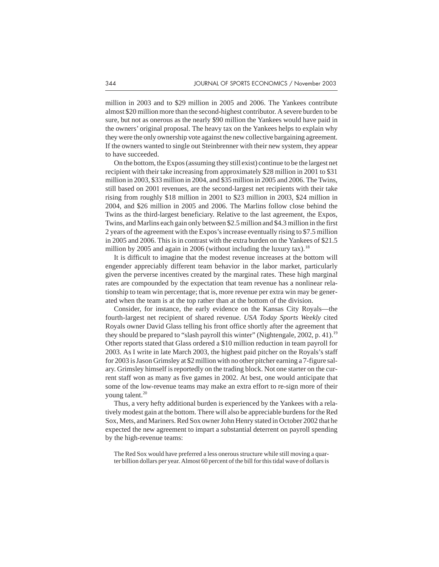million in 2003 and to \$29 million in 2005 and 2006. The Yankees contribute almost \$20 million more than the second-highest contributor. A severe burden to be sure, but not as onerous as the nearly \$90 million the Yankees would have paid in the owners' original proposal. The heavy tax on the Yankees helps to explain why they were the only ownership vote against the new collective bargaining agreement. If the owners wanted to single out Steinbrenner with their new system, they appear to have succeeded.

On the bottom, the Expos (assuming they still exist) continue to be the largest net recipient with their take increasing from approximately \$28 million in 2001 to \$31 million in 2003, \$33 million in 2004, and \$35 million in 2005 and 2006. The Twins, still based on 2001 revenues, are the second-largest net recipients with their take rising from roughly \$18 million in 2001 to \$23 million in 2003, \$24 million in 2004, and \$26 million in 2005 and 2006. The Marlins follow close behind the Twins as the third-largest beneficiary. Relative to the last agreement, the Expos, Twins, and Marlins each gain only between \$2.5 million and \$4.3 million in the first 2 years of the agreement with the Expos's increase eventually rising to \$7.5 million in 2005 and 2006. This is in contrast with the extra burden on the Yankees of \$21.5 million by 2005 and again in 2006 (without including the luxury tax).<sup>18</sup>

It is difficult to imagine that the modest revenue increases at the bottom will engender appreciably different team behavior in the labor market, particularly given the perverse incentives created by the marginal rates. These high marginal rates are compounded by the expectation that team revenue has a nonlinear relationship to team win percentage; that is, more revenue per extra win may be generated when the team is at the top rather than at the bottom of the division.

Consider, for instance, the early evidence on the Kansas City Royals—the fourth-largest net recipient of shared revenue. *USA Today Sports Weekly* cited Royals owner David Glass telling his front office shortly after the agreement that they should be prepared to "slash payroll this winter" (Nightengale, 2002, p. 41).<sup>19</sup> Other reports stated that Glass ordered a \$10 million reduction in team payroll for 2003. As I write in late March 2003, the highest paid pitcher on the Royals's staff for 2003 is Jason Grimsley at \$2 million with no other pitcher earning a 7-figure salary. Grimsley himself is reportedly on the trading block. Not one starter on the current staff won as many as five games in 2002. At best, one would anticipate that some of the low-revenue teams may make an extra effort to re-sign more of their young talent.<sup>20</sup>

Thus, a very hefty additional burden is experienced by the Yankees with a relatively modest gain at the bottom. There will also be appreciable burdens for the Red Sox, Mets, and Mariners. Red Sox owner John Henry stated in October 2002 that he expected the new agreement to impart a substantial deterrent on payroll spending by the high-revenue teams:

The Red Sox would have preferred a less onerous structure while still moving a quarter billion dollars per year. Almost 60 percent of the bill for this tidal wave of dollars is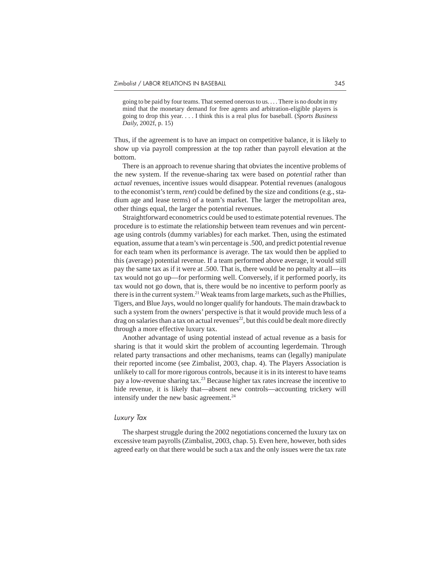going to be paid by four teams. That seemed onerous to us. . . . There is no doubt in my mind that the monetary demand for free agents and arbitration-eligible players is going to drop this year....I think this is a real plus for baseball. (*Sports Business Daily*, 2002f, p. 15)

Thus, if the agreement is to have an impact on competitive balance, it is likely to show up via payroll compression at the top rather than payroll elevation at the bottom.

There is an approach to revenue sharing that obviates the incentive problems of the new system. If the revenue-sharing tax were based on *potential* rather than *actual* revenues, incentive issues would disappear. Potential revenues (analogous to the economist's term,*rent*) could be defined by the size and conditions (e.g., stadium age and lease terms) of a team's market. The larger the metropolitan area, other things equal, the larger the potential revenues.

Straightforward econometrics could be used to estimate potential revenues. The procedure is to estimate the relationship between team revenues and win percentage using controls (dummy variables) for each market. Then, using the estimated equation, assume that a team's win percentage is .500, and predict potential revenue for each team when its performance is average. The tax would then be applied to this (average) potential revenue. If a team performed above average, it would still pay the same tax as if it were at .500. That is, there would be no penalty at all—its tax would not go up—for performing well. Conversely, if it performed poorly, its tax would not go down, that is, there would be no incentive to perform poorly as there is in the current system.<sup>21</sup> Weak teams from large markets, such as the Phillies, Tigers, and Blue Jays, would no longer qualify for handouts. The main drawback to such a system from the owners' perspective is that it would provide much less of a drag on salaries than a tax on actual revenues<sup>22</sup>, but this could be dealt more directly through a more effective luxury tax.

Another advantage of using potential instead of actual revenue as a basis for sharing is that it would skirt the problem of accounting legerdemain. Through related party transactions and other mechanisms, teams can (legally) manipulate their reported income (see Zimbalist, 2003, chap. 4). The Players Association is unlikely to call for more rigorous controls, because it is in its interest to have teams pay a low-revenue sharing tax.<sup>23</sup> Because higher tax rates increase the incentive to hide revenue, it is likely that—absent new controls—accounting trickery will intensify under the new basic agreement.<sup>24</sup>

#### Luxury Tax

The sharpest struggle during the 2002 negotiations concerned the luxury tax on excessive team payrolls (Zimbalist, 2003, chap. 5). Even here, however, both sides agreed early on that there would be such a tax and the only issues were the tax rate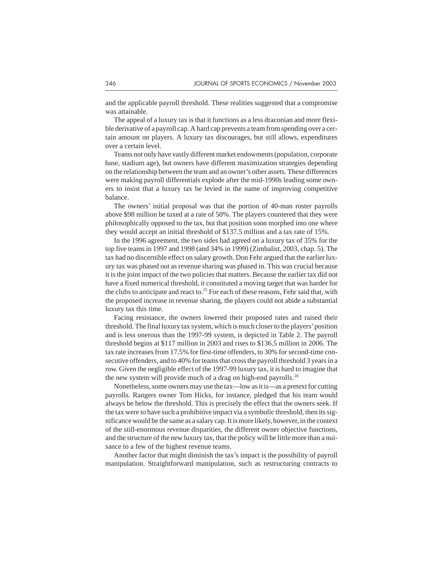and the applicable payroll threshold. These realities suggested that a compromise was attainable.

The appeal of a luxury tax is that it functions as a less draconian and more flexible derivative of a payroll cap. A hard cap prevents a team from spending over a certain amount on players. A luxury tax discourages, but still allows, expenditures over a certain level.

Teams not only have vastly different market endowments (population, corporate base, stadium age), but owners have different maximization strategies depending on the relationship between the team and an owner's other assets. These differences were making payroll differentials explode after the mid-1990s leading some owners to insist that a luxury tax be levied in the name of improving competitive balance.

The owners' initial proposal was that the portion of 40-man roster payrolls above \$98 million be taxed at a rate of 50%. The players countered that they were philosophically opposed to the tax, but that position soon morphed into one where they would accept an initial threshold of \$137.5 million and a tax rate of 15%.

In the 1996 agreement, the two sides had agreed on a luxury tax of 35% for the top five teams in 1997 and 1998 (and 34% in 1999) (Zimbalist, 2003, chap. 5). The tax had no discernible effect on salary growth. Don Fehr argued that the earlier luxury tax was phased out as revenue sharing was phased in. This was crucial because it is the joint impact of the two policies that matters. Because the earlier tax did not have a fixed numerical threshold, it constituted a moving target that was harder for the clubs to anticipate and react to.<sup>25</sup> For each of these reasons, Fehr said that, with the proposed increase in revenue sharing, the players could not abide a substantial luxury tax this time.

Facing resistance, the owners lowered their proposed rates and raised their threshold. The final luxury tax system, which is much closer to the players'position and is less onerous than the 1997-99 system, is depicted in Table 2. The payroll threshold begins at \$117 million in 2003 and rises to \$136.5 million in 2006. The tax rate increases from 17.5% for first-time offenders, to 30% for second-time consecutive offenders, and to 40% for teams that cross the payroll threshold 3 years in a row. Given the negligible effect of the 1997-99 luxury tax, it is hard to imagine that the new system will provide much of a drag on high-end payrolls.<sup>26</sup>

Nonetheless, some owners may use the tax—low as it is—as a pretext for cutting payrolls. Rangers owner Tom Hicks, for instance, pledged that his team would always be below the threshold. This is precisely the effect that the owners seek. If the tax were to have such a prohibitive impact via a symbolic threshold, then its significance would be the same as a salary cap. It is more likely, however, in the context of the still-enormous revenue disparities, the different owner objective functions, and the structure of the new luxury tax, that the policy will be little more than a nuisance to a few of the highest revenue teams.

Another factor that might diminish the tax's impact is the possibility of payroll manipulation. Straightforward manipulation, such as restructuring contracts to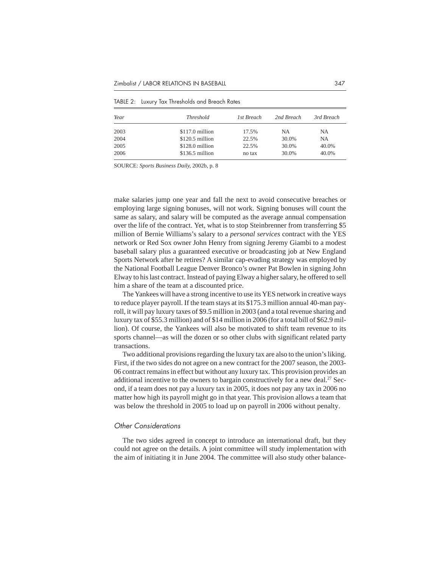| Year | <i>Threshold</i> | 1st Breach | 2nd Breach | 3rd Breach |  |
|------|------------------|------------|------------|------------|--|
| 2003 | $$117.0$ million | 17.5%      | NA         | NA         |  |
| 2004 | $$120.5$ million | 22.5%      | 30.0%      | <b>NA</b>  |  |
| 2005 | $$128.0$ million | 22.5%      | 30.0%      | 40.0%      |  |
| 2006 | $$136.5$ million | no tax     | 30.0%      | 40.0%      |  |

SOURCE: *Sports Business Daily*, 2002b, p. 8

make salaries jump one year and fall the next to avoid consecutive breaches or employing large signing bonuses, will not work. Signing bonuses will count the same as salary, and salary will be computed as the average annual compensation over the life of the contract. Yet, what is to stop Steinbrenner from transferring \$5 million of Bernie Williams's salary to a *personal services* contract with the YES network or Red Sox owner John Henry from signing Jeremy Giambi to a modest baseball salary plus a guaranteed executive or broadcasting job at New England Sports Network after he retires? A similar cap-evading strategy was employed by the National Football League Denver Bronco's owner Pat Bowlen in signing John Elway to his last contract. Instead of paying Elway a higher salary, he offered to sell him a share of the team at a discounted price.

The Yankees will have a strong incentive to use its YES network in creative ways to reduce player payroll. If the team stays at its \$175.3 million annual 40-man payroll, it will pay luxury taxes of \$9.5 million in 2003 (and a total revenue sharing and luxury tax of \$55.3 million) and of \$14 million in 2006 (for a total bill of \$62.9 million). Of course, the Yankees will also be motivated to shift team revenue to its sports channel—as will the dozen or so other clubs with significant related party transactions.

Two additional provisions regarding the luxury tax are also to the union's liking. First, if the two sides do not agree on a new contract for the 2007 season, the 2003- 06 contract remains in effect but without any luxury tax. This provision provides an additional incentive to the owners to bargain constructively for a new deal.<sup>27</sup> Second, if a team does not pay a luxury tax in 2005, it does not pay any tax in 2006 no matter how high its payroll might go in that year. This provision allows a team that was below the threshold in 2005 to load up on payroll in 2006 without penalty.

### Other Considerations

The two sides agreed in concept to introduce an international draft, but they could not agree on the details. A joint committee will study implementation with the aim of initiating it in June 2004. The committee will also study other balance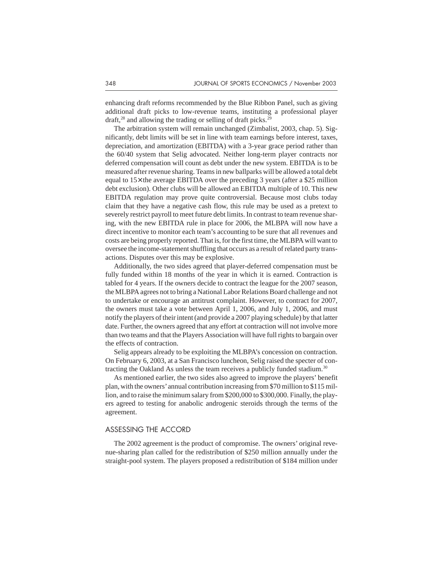enhancing draft reforms recommended by the Blue Ribbon Panel, such as giving additional draft picks to low-revenue teams, instituting a professional player  $dr$ aft,<sup>28</sup> and allowing the trading or selling of draft picks.<sup>29</sup>

The arbitration system will remain unchanged (Zimbalist, 2003, chap. 5). Significantly, debt limits will be set in line with team earnings before interest, taxes, depreciation, and amortization (EBITDA) with a 3-year grace period rather than the 60/40 system that Selig advocated. Neither long-term player contracts nor deferred compensation will count as debt under the new system. EBITDA is to be measured after revenue sharing. Teams in new ballparks will be allowed a total debt equal to 15× the average EBITDA over the preceding 3 years (after a \$25 million debt exclusion). Other clubs will be allowed an EBITDA multiple of 10. This new EBITDA regulation may prove quite controversial. Because most clubs today claim that they have a negative cash flow, this rule may be used as a pretext to severely restrict payroll to meet future debt limits. In contrast to team revenue sharing, with the new EBITDA rule in place for 2006, the MLBPA will now have a direct incentive to monitor each team's accounting to be sure that all revenues and costs are being properly reported. That is, for the first time, the MLBPA will want to oversee the income-statement shuffling that occurs as a result of related party transactions. Disputes over this may be explosive.

Additionally, the two sides agreed that player-deferred compensation must be fully funded within 18 months of the year in which it is earned. Contraction is tabled for 4 years. If the owners decide to contract the league for the 2007 season, the MLBPA agrees not to bring a National Labor Relations Board challenge and not to undertake or encourage an antitrust complaint. However, to contract for 2007, the owners must take a vote between April 1, 2006, and July 1, 2006, and must notify the players of their intent (and provide a 2007 playing schedule) by that latter date. Further, the owners agreed that any effort at contraction will not involve more than two teams and that the Players Association will have full rights to bargain over the effects of contraction.

Selig appears already to be exploiting the MLBPA's concession on contraction. On February 6, 2003, at a San Francisco luncheon, Selig raised the specter of contracting the Oakland As unless the team receives a publicly funded stadium.<sup>30</sup>

As mentioned earlier, the two sides also agreed to improve the players' benefit plan, with the owners'annual contribution increasing from \$70 million to \$115 million, and to raise the minimum salary from \$200,000 to \$300,000. Finally, the players agreed to testing for anabolic androgenic steroids through the terms of the agreement.

#### ASSESSING THE ACCORD

The 2002 agreement is the product of compromise. The owners' original revenue-sharing plan called for the redistribution of \$250 million annually under the straight-pool system. The players proposed a redistribution of \$184 million under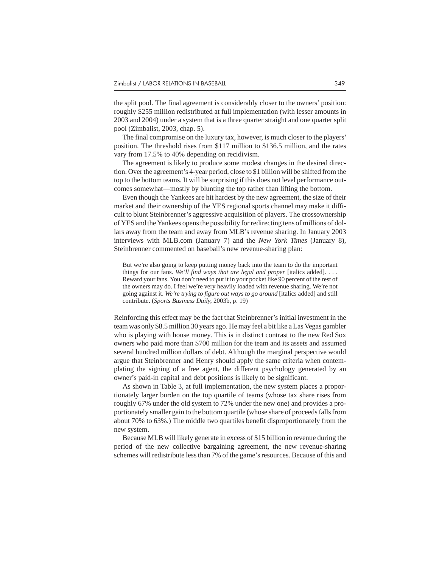the split pool. The final agreement is considerably closer to the owners' position: roughly \$255 million redistributed at full implementation (with lesser amounts in 2003 and 2004) under a system that is a three quarter straight and one quarter split pool (Zimbalist, 2003, chap. 5).

The final compromise on the luxury tax, however, is much closer to the players' position. The threshold rises from \$117 million to \$136.5 million, and the rates vary from 17.5% to 40% depending on recidivism.

The agreement is likely to produce some modest changes in the desired direction. Over the agreement's 4-year period, close to \$1 billion will be shifted from the top to the bottom teams. It will be surprising if this does not level performance outcomes somewhat—mostly by blunting the top rather than lifting the bottom.

Even though the Yankees are hit hardest by the new agreement, the size of their market and their ownership of the YES regional sports channel may make it difficult to blunt Steinbrenner's aggressive acquisition of players. The crossownership of YES and the Yankees opens the possibility for redirecting tens of millions of dollars away from the team and away from MLB's revenue sharing. In January 2003 interviews with MLB.com (January 7) and the *New York Times* (January 8), Steinbrenner commented on baseball's new revenue-sharing plan:

But we're also going to keep putting money back into the team to do the important things for our fans. *We'll find ways that are legal and proper* [italics added]. . . . Reward your fans. You don't need to put it in your pocket like 90 percent of the rest of the owners may do. I feel we're very heavily loaded with revenue sharing. We're not going against it. *We're trying to figure out ways to go around* [italics added] and still contribute. (*Sports Business Daily*, 2003b, p. 19)

Reinforcing this effect may be the fact that Steinbrenner's initial investment in the team was only \$8.5 million 30 years ago. He may feel a bit like a Las Vegas gambler who is playing with house money. This is in distinct contrast to the new Red Sox owners who paid more than \$700 million for the team and its assets and assumed several hundred million dollars of debt. Although the marginal perspective would argue that Steinbrenner and Henry should apply the same criteria when contemplating the signing of a free agent, the different psychology generated by an owner's paid-in capital and debt positions is likely to be significant.

As shown in Table 3, at full implementation, the new system places a proportionately larger burden on the top quartile of teams (whose tax share rises from roughly 67% under the old system to 72% under the new one) and provides a proportionately smaller gain to the bottom quartile (whose share of proceeds falls from about 70% to 63%.) The middle two quartiles benefit disproportionately from the new system.

Because MLB will likely generate in excess of \$15 billion in revenue during the period of the new collective bargaining agreement, the new revenue-sharing schemes will redistribute less than 7% of the game's resources. Because of this and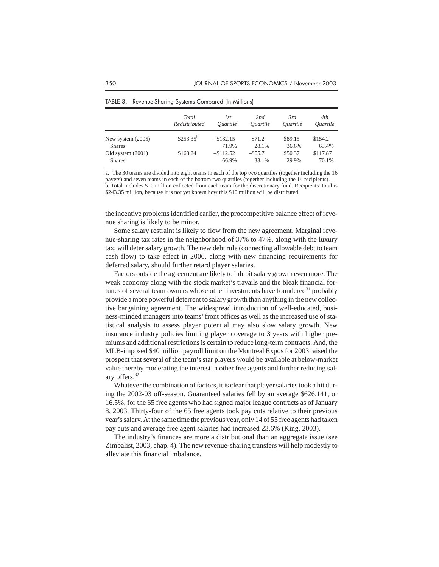|                     | Total         | 1st                         | 2nd                           | 3rd                           | 4th                    |
|---------------------|---------------|-----------------------------|-------------------------------|-------------------------------|------------------------|
|                     | Redistributed | <i>Ouartile<sup>a</sup></i> | <i><u><b>Ouartile</b></u></i> | <i><u><b>Ouartile</b></u></i> | <i><u>Ouartile</u></i> |
| New system $(2005)$ | $$253.35^b$   | $-$ \$182.15                | $-571.2$                      | \$89.15                       | \$154.2                |
| <b>Shares</b>       |               | 71.9%                       | 28.1%                         | 36.6%                         | 63.4%                  |
| Old system (2001)   | \$168.24      | $-$ \$112.52                | $-$ \$55.7                    | \$50.37                       | \$117.87               |
| <b>Shares</b>       |               | 66.9%                       | 33.1%                         | 29.9%                         | 70.1%                  |

TABLE 3: Revenue-Sharing Systems Compared (In Millions)

a. The 30 teams are divided into eight teams in each of the top two quartiles (together including the 16 payers) and seven teams in each of the bottom two quartiles (together including the 14 recipients). b. Total includes \$10 million collected from each team for the discretionary fund. Recipients' total is \$243.35 million, because it is not yet known how this \$10 million will be distributed.

the incentive problems identified earlier, the procompetitive balance effect of revenue sharing is likely to be minor.

Some salary restraint is likely to flow from the new agreement. Marginal revenue-sharing tax rates in the neighborhood of 37% to 47%, along with the luxury tax, will deter salary growth. The new debt rule (connecting allowable debt to team cash flow) to take effect in 2006, along with new financing requirements for deferred salary, should further retard player salaries.

Factors outside the agreement are likely to inhibit salary growth even more. The weak economy along with the stock market's travails and the bleak financial fortunes of several team owners whose other investments have foundered $31$  probably provide a more powerful deterrent to salary growth than anything in the new collective bargaining agreement. The widespread introduction of well-educated, business-minded managers into teams' front offices as well as the increased use of statistical analysis to assess player potential may also slow salary growth. New insurance industry policies limiting player coverage to 3 years with higher premiums and additional restrictions is certain to reduce long-term contracts. And, the MLB-imposed \$40 million payroll limit on the Montreal Expos for 2003 raised the prospect that several of the team's star players would be available at below-market value thereby moderating the interest in other free agents and further reducing salary offers.32

Whatever the combination of factors, it is clear that player salaries took a hit during the 2002-03 off-season. Guaranteed salaries fell by an average \$626,141, or 16.5%, for the 65 free agents who had signed major league contracts as of January 8, 2003. Thirty-four of the 65 free agents took pay cuts relative to their previous year's salary. At the same time the previous year, only 14 of 55 free agents had taken pay cuts and average free agent salaries had increased 23.6% (King, 2003).

The industry's finances are more a distributional than an aggregate issue (see Zimbalist, 2003, chap. 4). The new revenue-sharing transfers will help modestly to alleviate this financial imbalance.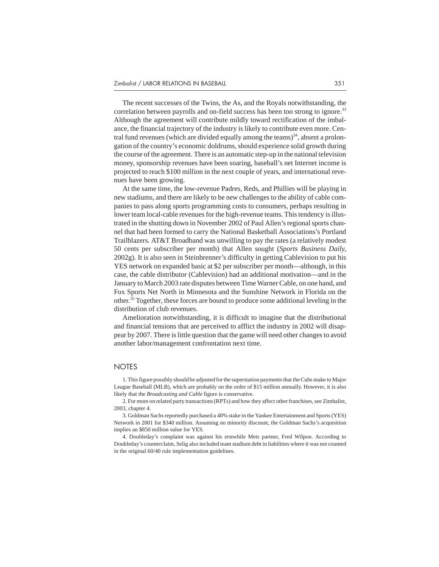The recent successes of the Twins, the As, and the Royals notwithstanding, the correlation between payrolls and on-field success has been too strong to ignore.<sup>33</sup> Although the agreement will contribute mildly toward rectification of the imbalance, the financial trajectory of the industry is likely to contribute even more. Central fund revenues (which are divided equally among the teams)<sup>34</sup>, absent a prolongation of the country's economic doldrums, should experience solid growth during the course of the agreement. There is an automatic step-up in the national television money, sponsorship revenues have been soaring, baseball's net Internet income is projected to reach \$100 million in the next couple of years, and international revenues have been growing.

At the same time, the low-revenue Padres, Reds, and Phillies will be playing in new stadiums, and there are likely to be new challenges to the ability of cable companies to pass along sports programming costs to consumers, perhaps resulting in lower team local-cable revenues for the high-revenue teams. This tendency is illustrated in the shutting down in November 2002 of Paul Allen's regional sports channel that had been formed to carry the National Basketball Associations's Portland Trailblazers. AT&T Broadband was unwilling to pay the rates (a relatively modest 50 cents per subscriber per month) that Allen sought (*Sports Business Daily*,  $2002g$ ). It is also seen in Steinbrenner's difficulty in getting Cablevision to put his YES network on expanded basic at \$2 per subscriber per month—although, in this case, the cable distributor (Cablevision) had an additional motivation—and in the January to March 2003 rate disputes between Time Warner Cable, on one hand, and Fox Sports Net North in Minnesota and the Sunshine Network in Florida on the other.35 Together, these forces are bound to produce some additional leveling in the distribution of club revenues.

Amelioration notwithstanding, it is difficult to imagine that the distributional and financial tensions that are perceived to afflict the industry in 2002 will disappear by 2007. There is little question that the game will need other changes to avoid another labor/management confrontation next time.

#### **NOTES**

1. This figure possibly should be adjusted for the superstation payments that the Cubs make to Major League Baseball (MLB), which are probably on the order of \$15 million annually. However, it is also likely that the *Broadcasting and Cable* figure is conservative.

2. For more on related party transactions (RPTs) and how they affect other franchises, see Zimbalist, 2003, chapter 4.

3. Goldman Sachs reportedly purchased a 40% stake in the Yankee Entertainment and Sports (YES) Network in 2001 for \$340 million. Assuming no minority discount, the Goldman Sachs's acquisition implies an \$850 million value for YES.

4. Doubleday's complaint was against his erstwhile Mets partner, Fred Wilpon. According to Doubleday's counterclaim, Selig also included team stadium debt in liabilities where it was not counted in the original 60/40 rule implementation guidelines.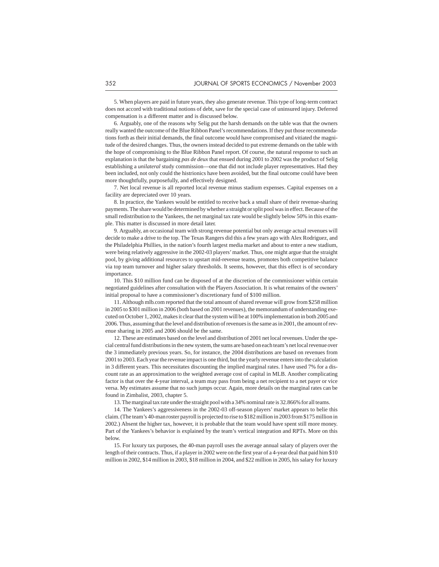5. When players are paid in future years, they also generate revenue. This type of long-term contract does not accord with traditional notions of debt, save for the special case of uninsured injury. Deferred compensation is a different matter and is discussed below.

6. Arguably, one of the reasons why Selig put the harsh demands on the table was that the owners really wanted the outcome of the Blue Ribbon Panel's recommendations. If they put those recommendations forth as their initial demands, the final outcome would have compromised and vitiated the magnitude of the desired changes. Thus, the owners instead decided to put extreme demands on the table with the hope of compromising to the Blue Ribbon Panel report. Of course, the natural response to such an explanation is that the bargaining *pas de deux* that ensued during 2001 to 2002 was the product of Selig establishing a *unilateral* study commission—one that did not include player representatives. Had they been included, not only could the histrionics have been avoided, but the final outcome could have been more thoughtfully, purposefully, and effectively designed.

7. Net local revenue is all reported local revenue minus stadium expenses. Capital expenses on a facility are depreciated over 10 years.

8. In practice, the Yankees would be entitled to receive back a small share of their revenue-sharing payments. The share would be determined by whether a straight or split pool was in effect. Because of the small redistribution to the Yankees, the net marginal tax rate would be slightly below 50% in this example. This matter is discussed in more detail later.

9. Arguably, an occasional team with strong revenue potential but only average actual revenues will decide to make a drive to the top. The Texas Rangers did this a few years ago with Alex Rodriguez, and the Philadelphia Phillies, in the nation's fourth largest media market and about to enter a new stadium, were being relatively aggressive in the 2002-03 players' market. Thus, one might argue that the straight pool, by giving additional resources to upstart mid-revenue teams, promotes both competitive balance via top team turnover and higher salary thresholds. It seems, however, that this effect is of secondary importance.

10. This \$10 million fund can be disposed of at the discretion of the commissioner within certain negotiated guidelines after consultation with the Players Association. It is what remains of the owners' initial proposal to have a commissioner's discretionary fund of \$100 million.

11. Although mlb.com reported that the total amount of shared revenue will grow from \$258 million in 2005 to \$301 million in 2006 (both based on 2001 revenues), the memorandum of understanding executed on October 1, 2002, makes it clear that the system will be at 100% implementation in both 2005 and 2006. Thus, assuming that the level and distribution of revenues is the same as in 2001, the amount of revenue sharing in 2005 and 2006 should be the same.

12. These are estimates based on the level and distribution of 2001 net local revenues. Under the special central fund distributions in the new system, the sums are based on each team's net local revenue over the 3 immediately previous years. So, for instance, the 2004 distributions are based on revenues from 2001 to 2003. Each year the revenue impact is one third, but the yearly revenue enters into the calculation in 3 different years. This necessitates discounting the implied marginal rates. I have used 7% for a discount rate as an approximation to the weighted average cost of capital in MLB. Another complicating factor is that over the 4-year interval, a team may pass from being a net recipient to a net payer or vice versa. My estimates assume that no such jumps occur. Again, more details on the marginal rates can be found in Zimbalist, 2003, chapter 5.

13. The marginal tax rate under the straight pool with a 34% nominal rate is 32.866% for all teams.

14. The Yankees's aggressiveness in the 2002-03 off-season players' market appears to belie this claim. (The team's 40-man roster payroll is projected to rise to \$182 million in 2003 from \$175 million in 2002.) Absent the higher tax, however, it is probable that the team would have spent still more money. Part of the Yankees's behavior is explained by the team's vertical integration and RPTs. More on this below.

15. For luxury tax purposes, the 40-man payroll uses the average annual salary of players over the length of their contracts. Thus, if a player in 2002 were on the first year of a 4-year deal that paid him \$10 million in 2002, \$14 million in 2003, \$18 million in 2004, and \$22 million in 2005, his salary for luxury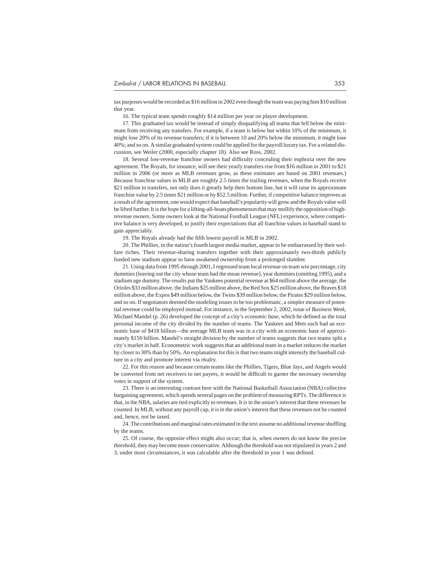tax purposes would be recorded as \$16 million in 2002 even though the team was paying him \$10 million that year.

16. The typical team spends roughly \$14 million per year on player development.

17. This graduated tax would be instead of simply disqualifying all teams that fell below the minimum from receiving any transfers. For example, if a team is below but within 10% of the minimum, it might lose 20% of its revenue transfers; if it is between 10 and 20% below the minimum, it might lose 40%; and so on. A similar graduated system could be applied for the payroll luxury tax. For a related discussion, see Weiler (2000, especially chapter 18). Also see Ross, 2002.

18. Several low-revenue franchise owners had difficulty concealing their euphoria over the new agreement. The Royals, for instance, will see their yearly transfers rise from \$16 million in 2001 to \$21 million in 2006 (or more as MLB revenues grow, as these estimates are based on 2001 revenues.) Because franchise values in MLB are roughly 2.5 times the trailing revenues, when the Royals receive \$21 million in transfers, not only does it greatly help their bottom line, but it will raise its approximate franchise value by 2.5 times \$21 million or by \$52.5 million. Further, if competitive balance improves as a result of the agreement, one would expect that baseball's popularity will grow and the Royals value will be lifted further. It is the hope for a lifting-all-boats phenomenon that may mollify the opposition of highrevenue owners. Some owners look at the National Football League (NFL) experience, where competitive balance is very developed, to justify their expectations that all franchise values in baseball stand to gain appreciably.

19. The Royals already had the fifth lowest payroll in MLB in 2002.

20. The Phillies, in the nation's fourth largest media market, appear to be embarrassed by their welfare riches. Their revenue-sharing transfers together with their approximately two-thirds publicly funded new stadium appear to have awakened ownership from a prolonged slumber.

21. Using data from 1995 through 2001, I regressed team local revenue on team win percentage, city dummies (leaving out the city whose team had the mean revenue), year dummies (omitting 1995), and a stadium age dummy. The results put the Yankees potential revenue at \$64 million above the average, the Orioles \$33 million above, the Indians \$25 million above, the Red Sox \$25 million above, the Braves \$18 million above, the Expos \$49 million below, the Twins \$39 million below, the Pirates \$29 million below, and so on. If negotiators deemed the modeling issues to be too problematic, a simpler measure of potential revenue could be employed instead. For instance, in the September 2, 2002, issue of *Business Week*, Michael Mandel (p. 26) developed the concept of a city's *economic base*, which he defined as the total personal income of the city divided by the number of teams. The Yankees and Mets each had an economic base of \$418 billion—the average MLB team was in a city with an economic base of approximately \$150 billion. Mandel's straight division by the number of teams suggests that two teams split a city's market in half. Econometric work suggests that an additional team in a market reduces the market by closer to 30% than by 50%. An explanation for this is that two teams might intensify the baseball culture in a city and promote interest via rivalry.

22. For this reason and because certain teams like the Phillies, Tigers, Blue Jays, and Angels would be converted from net receivers to net payers, it would be difficult to garner the necessary ownership votes in support of the system.

23. There is an interesting contrast here with the National Basketball Association (NBA) collective bargaining agreement, which spends several pages on the problem of measuring RPTs. The difference is that, in the NBA, salaries are tied explicitly to revenues. It is in the union's interest that these revenues be counted. In MLB, without any payroll cap, it is in the union's interest that these revenues not be counted and, hence, not be taxed.

24. The contributions and marginal rates estimated in the text assume no additional revenue shuffling by the teams.

25. Of course, the opposite effect might also occur; that is, when owners do not know the precise threshold, they may become more conservative. Although the threshold was not stipulated in years 2 and 3, under most circumstances, it was calculable after the threshold in year 1 was defined.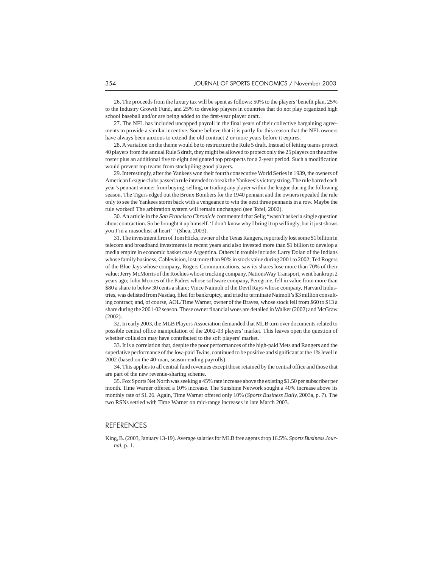26. The proceeds from the luxury tax will be spent as follows: 50% to the players'benefit plan, 25% to the Industry Growth Fund, and 25% to develop players in countries that do not play organized high school baseball and/or are being added to the first-year player draft.

27. The NFL has included uncapped payroll in the final years of their collective bargaining agreements to provide a similar incentive. Some believe that it is partly for this reason that the NFL owners have always been anxious to extend the old contract 2 or more years before it expires.

28. A variation on the theme would be to restructure the Rule 5 draft. Instead of letting teams protect 40 players from the annual Rule 5 draft, they might be allowed to protect only the 25 players on the active roster plus an additional five to eight designated top prospects for a 2-year period. Such a modification would prevent top teams from stockpiling good players.

29. Interestingly, after the Yankees won their fourth consecutive World Series in 1939, the owners of American League clubs passed a rule intended to break the Yankees's victory string. The rule barred each year's pennant winner from buying, selling, or trading any player within the league during the following season. The Tigers edged out the Bronx Bombers for the 1940 pennant and the owners repealed the rule only to see the Yankees storm back with a vengeance to win the next three pennants in a row. Maybe the rule worked! The arbitration system will remain unchanged (see Tofel, 2002).

30. An article in the *San Francisco Chronicle* commented that Selig "wasn't asked a single question about contraction. So he brought it up himself. 'I don't know why I bring it up willingly, but it just shows you I'm a masochist at heart' " (Shea, 2003).

31. The investment firm of Tom Hicks, owner of the Texas Rangers, reportedly lost some \$1 billion in telecom and broadband investments in recent years and also invested more than \$1 billion to develop a media empire in economic basket case Argentina. Others in trouble include: Larry Dolan of the Indians whose family business, Cablevision, lost more than 90% in stock value during 2001 to 2002; Ted Rogers of the Blue Jays whose company, Rogers Communications, saw its shares lose more than 70% of their value; Jerry McMorris of the Rockies whose trucking company, NationsWay Transport, went bankrupt 2 years ago; John Moores of the Padres whose software company, Peregrine, fell in value from more than \$80 a share to below 30 cents a share; Vince Naimoli of the Devil Rays whose company, Harvard Industries, was delisted from Nasdaq, filed for bankruptcy, and tried to terminate Naimoli's \$3 million consulting contract; and, of course, AOL/Time Warner, owner of the Braves, whose stock fell from \$60 to \$13 a share during the 2001-02 season. These owner financial woes are detailed in Walker (2002) and McGraw  $(2002)$ 

32. In early 2003, the MLB Players Association demanded that MLB turn over documents related to possible central office manipulation of the 2002-03 players' market. This leaves open the question of whether collusion may have contributed to the soft players' market.

33. It is a correlation that, despite the poor performances of the high-paid Mets and Rangers and the superlative performance of the low-paid Twins, continued to be positive and significant at the 1% level in 2002 (based on the 40-man, season-ending payrolls).

34. This applies to all central fund revenues except those retained by the central office and those that are part of the new revenue-sharing scheme.

35. Fox Sports Net North was seeking a 45% rate increase above the existing \$1.50 per subscriber per month. Time Warner offered a 10% increase. The Sunshine Network sought a 40% increase above its monthly rate of \$1.26. Again, Time Warner offered only 10% (*Sports Business Daily*, 2003a, p. 7). The two RSNs settled with Time Warner on mid-range increases in late March 2003.

#### REFERENCES

King, B. (2003, January 13-19). Average salaries for MLB free agents drop 16.5%. *Sports Business Journal*, p. 1.